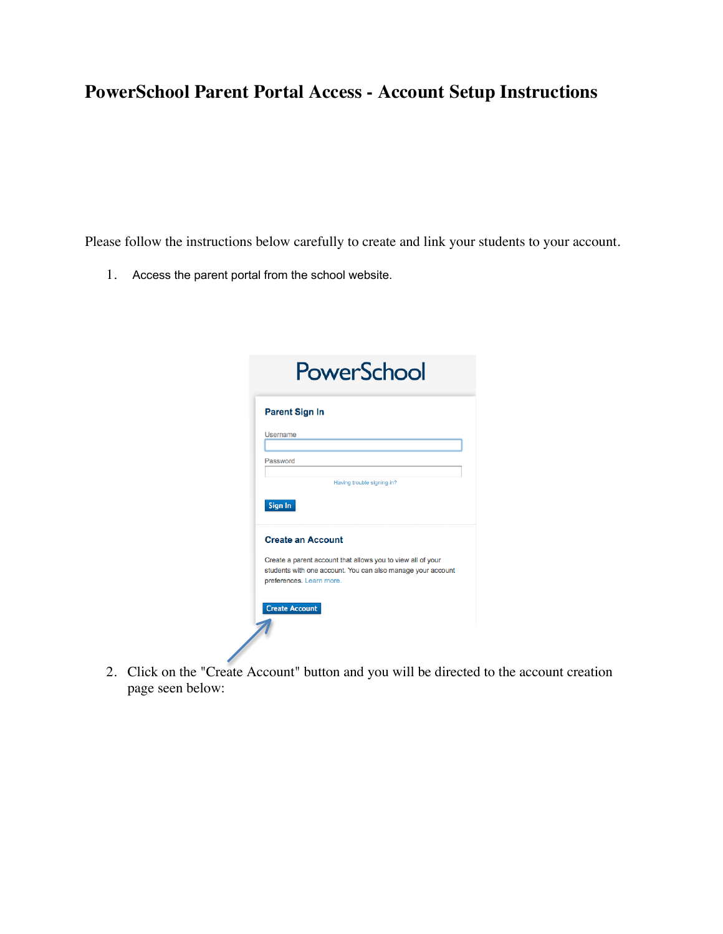# **PowerSchool Parent Portal Access - Account Setup Instructions**

Please follow the instructions below carefully to create and link your students to your account.

1. Access the parent portal from the school website.

| <b>Parent Sign In</b>    |                                                                                                                            |
|--------------------------|----------------------------------------------------------------------------------------------------------------------------|
| Username                 |                                                                                                                            |
| Password                 |                                                                                                                            |
|                          | Having trouble signing in?                                                                                                 |
| Sign In                  |                                                                                                                            |
| <b>Create an Account</b> |                                                                                                                            |
| preferences. Learn more. | Create a parent account that allows you to view all of your<br>students with one account. You can also manage your account |
|                          |                                                                                                                            |

2. Click on the "Create Account" button and you will be directed to the account creation page seen below: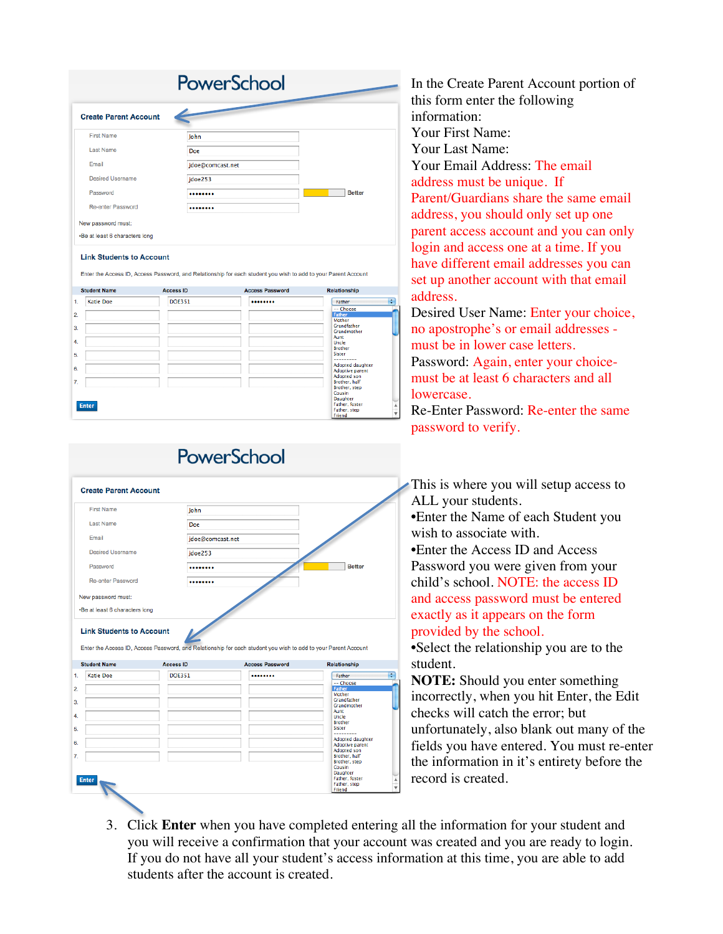| <b>Create Parent Account</b>   |                  |               |
|--------------------------------|------------------|---------------|
| <b>First Name</b>              | John             |               |
| <b>Last Name</b>               | Doe              |               |
| Email                          | jdoe@comcast.net |               |
| <b>Desired Username</b>        | jdoe253          |               |
| Password                       |                  | <b>Better</b> |
| Re-enter Password              |                  |               |
| New password must:             |                  |               |
| •Be at least 6 characters long |                  |               |

|                                  | <b>Student Name</b> | <b>Access ID</b> | <b>Access Password</b> | <b>Relationship</b>                                                                                                                                                                   |
|----------------------------------|---------------------|------------------|------------------------|---------------------------------------------------------------------------------------------------------------------------------------------------------------------------------------|
| 1.                               | <b>Katie Doe</b>    | <b>DOE351</b>    |                        | ÷<br>Father                                                                                                                                                                           |
| $\overline{2}$<br>3.<br>4.<br>5. |                     |                  |                        | -- Choose<br>Father<br>Mother<br>Grandfather<br>Grandmother<br>Aunt<br>Uncle<br><b>Brother</b><br><b>Sister</b><br>----------                                                         |
| 6.<br>7.                         | <b>Enter</b>        |                  |                        | <b>Adopted daughter</b><br>Adoptive parent<br>Adopted son<br>Brother, half<br>Brother, step<br>Cousin<br>Daughter<br>Father, foster<br>$\frac{1}{\sqrt{2}}$<br>Father, step<br>Friend |

| <b>First Name</b>                                                                          | John             |                                                                                                                |                                 |
|--------------------------------------------------------------------------------------------|------------------|----------------------------------------------------------------------------------------------------------------|---------------------------------|
| <b>Last Name</b>                                                                           | Doe              |                                                                                                                |                                 |
| Email                                                                                      | jdoe@comcast.net |                                                                                                                |                                 |
| <b>Desired Username</b>                                                                    | jdoe253          |                                                                                                                |                                 |
| Password                                                                                   |                  |                                                                                                                | <b>Better</b>                   |
| <b>Re-enter Password</b>                                                                   |                  |                                                                                                                |                                 |
| New password must:                                                                         |                  |                                                                                                                |                                 |
| •Be at least 6 characters long                                                             |                  |                                                                                                                |                                 |
|                                                                                            |                  | Enter the Access ID, Access Password, and Relationship for each student you wish to add to your Parent Account |                                 |
|                                                                                            | <b>Access ID</b> | <b>Access Password</b>                                                                                         | <b>Relationship</b>             |
|                                                                                            | <b>DOE351</b>    |                                                                                                                | Father                          |
|                                                                                            |                  |                                                                                                                | -- Choose                       |
|                                                                                            |                  |                                                                                                                | Father                          |
|                                                                                            |                  |                                                                                                                | Mother<br>Grandfather           |
|                                                                                            |                  |                                                                                                                | <b>Grandmother</b>              |
|                                                                                            |                  |                                                                                                                | Aunt                            |
|                                                                                            |                  |                                                                                                                | Uncle                           |
|                                                                                            |                  |                                                                                                                | <b>Brother</b><br><b>Sister</b> |
|                                                                                            |                  |                                                                                                                | ---------                       |
|                                                                                            |                  |                                                                                                                | <b>Adopted daughter</b>         |
|                                                                                            |                  |                                                                                                                | <b>Adoptive parent</b>          |
|                                                                                            |                  |                                                                                                                | <b>Adopted son</b>              |
|                                                                                            |                  |                                                                                                                | Brother, half                   |
|                                                                                            |                  |                                                                                                                | Brother, step<br>Cousin         |
|                                                                                            |                  |                                                                                                                | Daughter                        |
| <b>Link Students to Account</b><br><b>Student Name</b><br><b>Katie Doe</b><br><b>Enter</b> |                  |                                                                                                                | Father, foster<br>Father, step  |

In the Create Parent Account portion of this form enter the following information: Your First Name: Your Last Name: Your Email Address: The email address must be unique. If Parent/Guardians share the same email address, you should only set up one parent access account and you can only login and access one at a time. If you have different email addresses you can set up another account with that email address.

Desired User Name: Enter your choice, no apostrophe's or email addresses must be in lower case letters. Password: Again, enter your choicemust be at least 6 characters and all lowercase.

Re-Enter Password: Re-enter the same password to verify.

This is where you will setup access to ALL your students.

•Enter the Name of each Student you wish to associate with.

•Enter the Access ID and Access Password you were given from your child's school. NOTE: the access ID and access password must be entered exactly as it appears on the form provided by the school.

•Select the relationship you are to the student.

**NOTE:** Should you enter something incorrectly, when you hit Enter, the Edit checks will catch the error; but unfortunately, also blank out many of the fields you have entered. You must re-enter the information in it's entirety before the record is created.

3. Click **Enter** when you have completed entering all the information for your student and you will receive a confirmation that your account was created and you are ready to login. If you do not have all your student's access information at this time, you are able to add students after the account is created.

# PowerSchool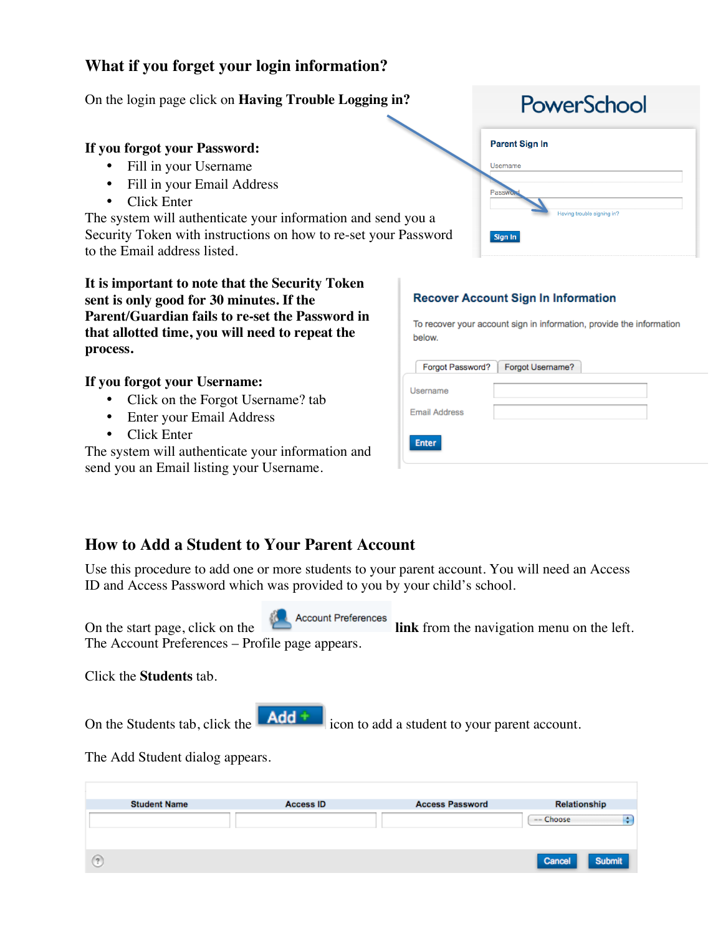## **What if you forget your login information?**

On the login page click on **Having Trouble Logging in?**

### **If you forgot your Password:**

- Fill in your Username
- Fill in your Email Address
- Click Enter

The system will authenticate your information and send you a Security Token with instructions on how to re-set your Password to the Email address listed.

**It is important to note that the Security Token sent is only good for 30 minutes. If the Parent/Guardian fails to re-set the Password in that allotted time, you will need to repeat the process.**

#### **If you forgot your Username:**

- Click on the Forgot Username? tab
- Enter your Email Address
- Click Enter

The system will authenticate your information and send you an Email listing your Username.

| <b>Parent Sign In</b> |                            |
|-----------------------|----------------------------|
| Username              |                            |
|                       |                            |
| <b>Passwo</b>         |                            |
|                       | Having trouble signing in? |

 $C_{\rm L}$ 

#### **Recover Account Sign In Information**

To recover your account sign in information, provide the information below.

| Forgot Password?     | Forgot Username?<br>ı |  |
|----------------------|-----------------------|--|
| Username             |                       |  |
| <b>Email Address</b> |                       |  |
| <b>Enter</b>         |                       |  |

## **How to Add a Student to Your Parent Account**

Use this procedure to add one or more students to your parent account. You will need an Access ID and Access Password which was provided to you by your child's school.



On the start page, click on the **link helicial link** from the navigation menu on the left. The Account Preferences – Profile page appears.

Click the **Students** tab.

On the Students tab, click the  $\blacksquare$  **Add**  $\uparrow$  icon to add a student to your parent account.

The Add Student dialog appears.

| <b>Student Name</b> | <b>Access ID</b> | <b>Access Password</b> | Relationship     |
|---------------------|------------------|------------------------|------------------|
|                     |                  |                        | -- Choose        |
|                     |                  |                        |                  |
|                     |                  |                        | Submit<br>Cancel |